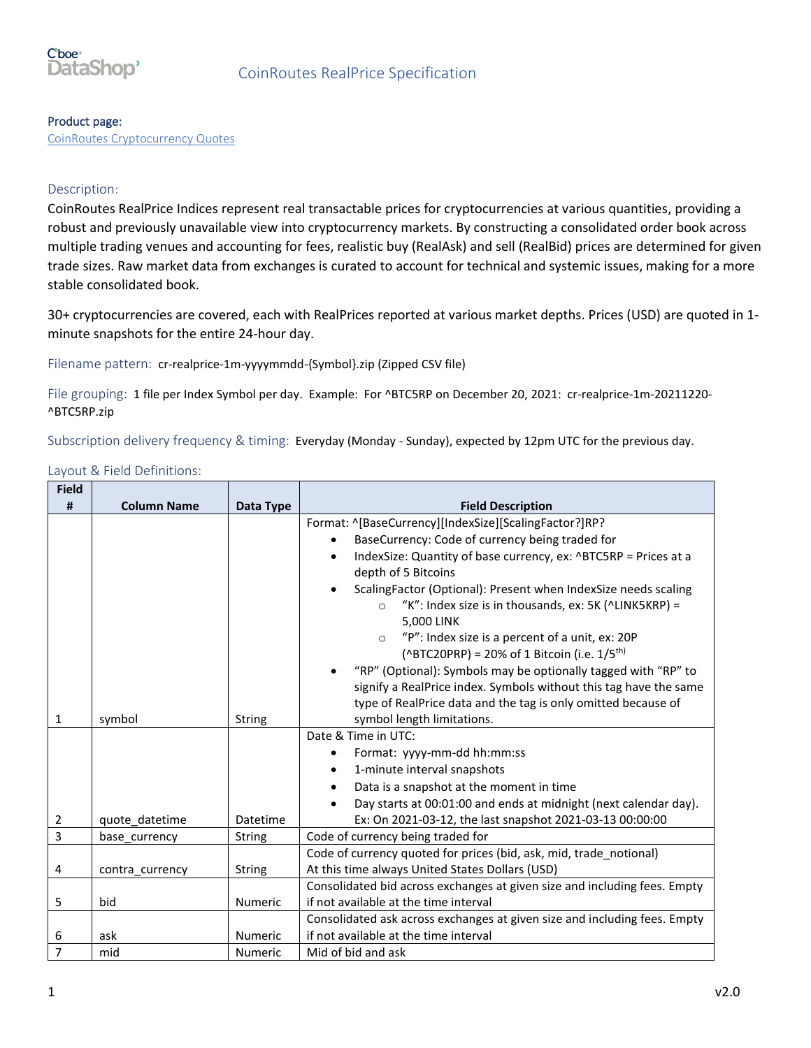

#### Product page:

[CoinRoutes Cryptocurrency Quotes](https://datashop.cboe.com/coinroutes-realprice)

#### Description:

CoinRoutes RealPrice Indices represent real transactable prices for cryptocurrencies at various quantities, providing a robust and previously unavailable view into cryptocurrency markets. By constructing a consolidated order book across multiple trading venues and accounting for fees, realistic buy (RealAsk) and sell (RealBid) prices are determined for given trade sizes. Raw market data from exchanges is curated to account for technical and systemic issues, making for a more stable consolidated book.

30+ cryptocurrencies are covered, each with RealPrices reported at various market depths. Prices (USD) are quoted in 1 minute snapshots for the entire 24-hour day.

Filename pattern: cr-realprice-1m-yyyymmdd-{Symbol}.zip (Zipped CSV file)

File grouping: 1 file per Index Symbol per day. Example: For ^BTC5RP on December 20, 2021: cr-realprice-1m-20211220-^BTC5RP.zip

Subscription delivery frequency & timing: Everyday (Monday - Sunday), expected by 12pm UTC for the previous day.

Layout & Field Definitions:

| <b>Field</b>   |                    |                |                                                                              |
|----------------|--------------------|----------------|------------------------------------------------------------------------------|
| #              | <b>Column Name</b> | Data Type      | <b>Field Description</b>                                                     |
|                |                    |                | Format: ^[BaseCurrency][IndexSize][ScalingFactor?]RP?                        |
|                |                    |                | BaseCurrency: Code of currency being traded for                              |
|                |                    |                | IndexSize: Quantity of base currency, ex: ^BTC5RP = Prices at a<br>$\bullet$ |
|                |                    |                | depth of 5 Bitcoins                                                          |
|                |                    |                | ScalingFactor (Optional): Present when IndexSize needs scaling               |
|                |                    |                | "K": Index size is in thousands, ex: 5K (^LINK5KRP) =<br>$\circ$             |
|                |                    |                | 5,000 LINK                                                                   |
|                |                    |                | "P": Index size is a percent of a unit, ex: 20P<br>$\circ$                   |
|                |                    |                | (^BTC20PRP) = 20% of 1 Bitcoin (i.e. $1/5^{th}$ )                            |
|                |                    |                | "RP" (Optional): Symbols may be optionally tagged with "RP" to               |
|                |                    |                | signify a RealPrice index. Symbols without this tag have the same            |
|                |                    |                | type of RealPrice data and the tag is only omitted because of                |
| $\mathbf{1}$   | symbol             | <b>String</b>  | symbol length limitations.                                                   |
|                |                    |                | Date & Time in UTC:                                                          |
|                |                    |                | Format: yyyy-mm-dd hh:mm:ss<br>٠                                             |
|                |                    |                | 1-minute interval snapshots<br>٠                                             |
|                |                    |                | Data is a snapshot at the moment in time                                     |
|                |                    |                | Day starts at 00:01:00 and ends at midnight (next calendar day).             |
| $\overline{2}$ | quote_datetime     | Datetime       | Ex: On 2021-03-12, the last snapshot 2021-03-13 00:00:00                     |
| 3              | base currency      | String         | Code of currency being traded for                                            |
|                |                    |                | Code of currency quoted for prices (bid, ask, mid, trade notional)           |
| 4              | contra_currency    | <b>String</b>  | At this time always United States Dollars (USD)                              |
|                |                    |                | Consolidated bid across exchanges at given size and including fees. Empty    |
| 5              | bid                | Numeric        | if not available at the time interval                                        |
|                |                    |                | Consolidated ask across exchanges at given size and including fees. Empty    |
| 6              | ask                | Numeric        | if not available at the time interval                                        |
| $\overline{7}$ | mid                | <b>Numeric</b> | Mid of bid and ask                                                           |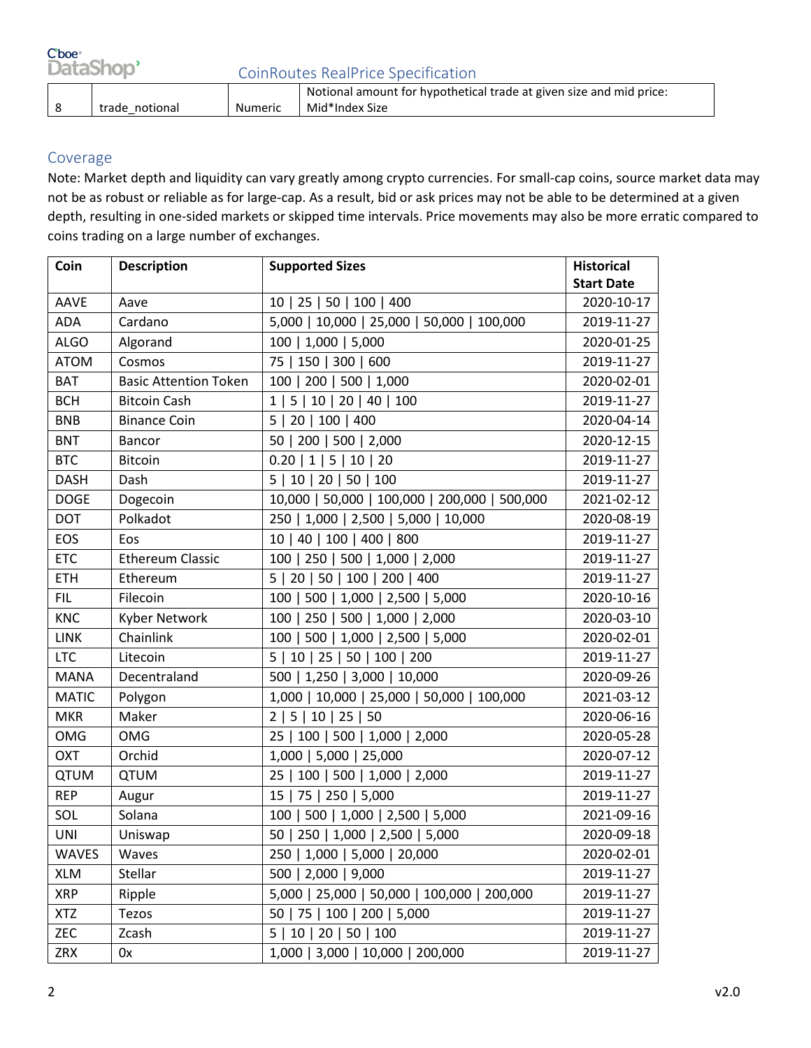| Cboe <sup>.</sup><br>DataShop' |                | <b>CoinRoutes RealPrice Specification</b> |                                                                                       |  |
|--------------------------------|----------------|-------------------------------------------|---------------------------------------------------------------------------------------|--|
|                                | trade notional | Numeric                                   | Notional amount for hypothetical trade at given size and mid price:<br>Mid*Index Size |  |

### Coverage

Note: Market depth and liquidity can vary greatly among crypto currencies. For small-cap coins, source market data may not be as robust or reliable as for large-cap. As a result, bid or ask prices may not be able to be determined at a given depth, resulting in one-sided markets or skipped time intervals. Price movements may also be more erratic compared to coins trading on a large number of exchanges.

| Coin         | <b>Description</b>           | <b>Supported Sizes</b>                        | <b>Historical</b> |
|--------------|------------------------------|-----------------------------------------------|-------------------|
|              |                              |                                               | <b>Start Date</b> |
| <b>AAVE</b>  | Aave                         | 10   25   50   100   400                      | 2020-10-17        |
| <b>ADA</b>   | Cardano                      | 5,000   10,000   25,000   50,000   100,000    | 2019-11-27        |
| <b>ALGO</b>  | Algorand                     | 100   1,000   5,000                           | 2020-01-25        |
| <b>ATOM</b>  | Cosmos                       | 75 <br>150   300   600                        | 2019-11-27        |
| <b>BAT</b>   | <b>Basic Attention Token</b> | 100   200   500   1,000                       | 2020-02-01        |
| <b>BCH</b>   | <b>Bitcoin Cash</b>          | 10   20   40   100<br>1 <br>5                 | 2019-11-27        |
| <b>BNB</b>   | <b>Binance Coin</b>          | 100   400<br>5<br>20                          | 2020-04-14        |
| <b>BNT</b>   | Bancor                       | 200   500   2,000<br>50                       | 2020-12-15        |
| <b>BTC</b>   | <b>Bitcoin</b>               | $0.20$   1  5  10  20                         | 2019-11-27        |
| <b>DASH</b>  | Dash                         | 10   20   50   100<br>5 I                     | 2019-11-27        |
| <b>DOGE</b>  | Dogecoin                     | 10,000   50,000   100,000   200,000   500,000 | 2021-02-12        |
| <b>DOT</b>   | Polkadot                     | 250   1,000   2,500   5,000   10,000          | 2020-08-19        |
| EOS          | Eos                          | 10   40   100   400   800                     | 2019-11-27        |
| <b>ETC</b>   | <b>Ethereum Classic</b>      | 100   250   500   1,000   2,000               | 2019-11-27        |
| <b>ETH</b>   | Ethereum                     | 5   20   50   100   200   400                 | 2019-11-27        |
| FIL.         | Filecoin                     | 100   500   1,000   2,500   5,000             | 2020-10-16        |
| <b>KNC</b>   | Kyber Network                | 100   250   500   1,000   2,000               | 2020-03-10        |
| <b>LINK</b>  | Chainlink                    | 500<br>1,000   2,500   5,000<br>100           | 2020-02-01        |
| <b>LTC</b>   | Litecoin                     | 5   10   25   50   100   200                  | 2019-11-27        |
| <b>MANA</b>  | Decentraland                 | 500   1,250   3,000   10,000                  | 2020-09-26        |
| <b>MATIC</b> | Polygon                      | 1,000   10,000   25,000   50,000   100,000    | 2021-03-12        |
| <b>MKR</b>   | Maker                        | 5   10   25   50<br>2                         | 2020-06-16        |
| <b>OMG</b>   | <b>OMG</b>                   | 25   100   500   1,000   2,000                | 2020-05-28        |
| <b>OXT</b>   | Orchid                       | 1,000   5,000   25,000                        | 2020-07-12        |
| <b>QTUM</b>  | <b>QTUM</b>                  | 100   500   1,000   2,000<br>25               | 2019-11-27        |
| <b>REP</b>   | Augur                        | 75   250   5,000<br>15                        | 2019-11-27        |
| SOL          | Solana                       | 100   500   1,000   2,500   5,000             | 2021-09-16        |
| <b>UNI</b>   | Uniswap                      | 50   250   1,000   2,500   5,000              | 2020-09-18        |
| <b>WAVES</b> | Waves                        | 250   1,000   5,000   20,000                  | 2020-02-01        |
| <b>XLM</b>   | Stellar                      | 500   2,000   9,000                           | 2019-11-27        |
| <b>XRP</b>   | Ripple                       | 5,000   25,000   50,000   100,000   200,000   | 2019-11-27        |
| <b>XTZ</b>   | Tezos                        | 50   75   100   200   5,000                   | 2019-11-27        |
| ZEC          | Zcash                        | 5   10   20   50   100                        | 2019-11-27        |
| <b>ZRX</b>   | 0x                           | 1,000   3,000   10,000   200,000              | 2019-11-27        |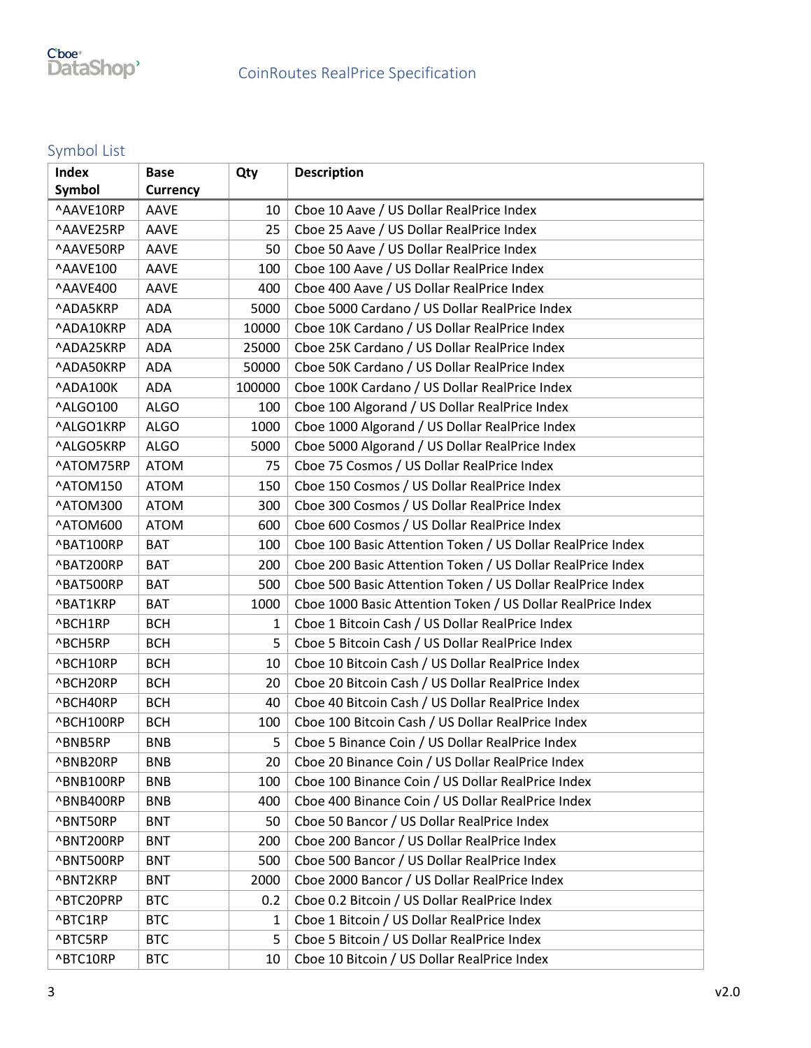## Symbol List

| <b>Index</b> | <b>Base</b>     | Qty    | <b>Description</b>                                          |
|--------------|-----------------|--------|-------------------------------------------------------------|
| Symbol       | <b>Currency</b> |        |                                                             |
| ^AAVE10RP    | AAVE            | 10     | Cboe 10 Aave / US Dollar RealPrice Index                    |
| ^AAVE25RP    | AAVE            | 25     | Cboe 25 Aave / US Dollar RealPrice Index                    |
| ^AAVE50RP    | AAVE            | 50     | Cboe 50 Aave / US Dollar RealPrice Index                    |
| ^AAVE100     | AAVE            | 100    | Cboe 100 Aave / US Dollar RealPrice Index                   |
| ^AAVE400     | <b>AAVE</b>     | 400    | Cboe 400 Aave / US Dollar RealPrice Index                   |
| ^ADA5KRP     | ADA             | 5000   | Cboe 5000 Cardano / US Dollar RealPrice Index               |
| ^ADA10KRP    | ADA             | 10000  | Cboe 10K Cardano / US Dollar RealPrice Index                |
| ^ADA25KRP    | ADA             | 25000  | Cboe 25K Cardano / US Dollar RealPrice Index                |
| ^ADA50KRP    | ADA             | 50000  | Cboe 50K Cardano / US Dollar RealPrice Index                |
| ^ADA100K     | ADA             | 100000 | Cboe 100K Cardano / US Dollar RealPrice Index               |
| ^ALGO100     | <b>ALGO</b>     | 100    | Cboe 100 Algorand / US Dollar RealPrice Index               |
| ^ALGO1KRP    | <b>ALGO</b>     | 1000   | Cboe 1000 Algorand / US Dollar RealPrice Index              |
| ^ALGO5KRP    | <b>ALGO</b>     | 5000   | Cboe 5000 Algorand / US Dollar RealPrice Index              |
| ^ATOM75RP    | <b>ATOM</b>     | 75     | Cboe 75 Cosmos / US Dollar RealPrice Index                  |
| ^ATOM150     | <b>ATOM</b>     | 150    | Cboe 150 Cosmos / US Dollar RealPrice Index                 |
| ^ATOM300     | <b>ATOM</b>     | 300    | Cboe 300 Cosmos / US Dollar RealPrice Index                 |
| ^ATOM600     | <b>ATOM</b>     | 600    | Cboe 600 Cosmos / US Dollar RealPrice Index                 |
| ^BAT100RP    | <b>BAT</b>      | 100    | Cboe 100 Basic Attention Token / US Dollar RealPrice Index  |
| ^BAT200RP    | <b>BAT</b>      | 200    | Cboe 200 Basic Attention Token / US Dollar RealPrice Index  |
| ^BAT500RP    | <b>BAT</b>      | 500    | Cboe 500 Basic Attention Token / US Dollar RealPrice Index  |
| ^BAT1KRP     | <b>BAT</b>      | 1000   | Cboe 1000 Basic Attention Token / US Dollar RealPrice Index |
| ^BCH1RP      | <b>BCH</b>      | 1      | Cboe 1 Bitcoin Cash / US Dollar RealPrice Index             |
| ^BCH5RP      | <b>BCH</b>      | 5      | Cboe 5 Bitcoin Cash / US Dollar RealPrice Index             |
| ^BCH10RP     | <b>BCH</b>      | 10     | Cboe 10 Bitcoin Cash / US Dollar RealPrice Index            |
| ^BCH20RP     | <b>BCH</b>      | 20     | Cboe 20 Bitcoin Cash / US Dollar RealPrice Index            |
| ^BCH40RP     | <b>BCH</b>      | 40     | Cboe 40 Bitcoin Cash / US Dollar RealPrice Index            |
| ^BCH100RP    | <b>BCH</b>      | 100    | Cboe 100 Bitcoin Cash / US Dollar RealPrice Index           |
| ^BNB5RP      | <b>BNB</b>      | 5      | Cboe 5 Binance Coin / US Dollar RealPrice Index             |
| ^BNB20RP     | BNB             | 20     | Cboe 20 Binance Coin / US Dollar RealPrice Index            |
| ^BNB100RP    | <b>BNB</b>      | 100    | Cboe 100 Binance Coin / US Dollar RealPrice Index           |
| ^BNB400RP    | <b>BNB</b>      | 400    | Cboe 400 Binance Coin / US Dollar RealPrice Index           |
| ^BNT50RP     | <b>BNT</b>      | 50     | Cboe 50 Bancor / US Dollar RealPrice Index                  |
| ^BNT200RP    | <b>BNT</b>      | 200    | Cboe 200 Bancor / US Dollar RealPrice Index                 |
| ^BNT500RP    | <b>BNT</b>      | 500    | Cboe 500 Bancor / US Dollar RealPrice Index                 |
| ^BNT2KRP     | <b>BNT</b>      | 2000   | Cboe 2000 Bancor / US Dollar RealPrice Index                |
| ^BTC20PRP    | <b>BTC</b>      | 0.2    | Cboe 0.2 Bitcoin / US Dollar RealPrice Index                |
| ^BTC1RP      | <b>BTC</b>      | 1      | Cboe 1 Bitcoin / US Dollar RealPrice Index                  |
| ^BTC5RP      | <b>BTC</b>      | 5      | Cboe 5 Bitcoin / US Dollar RealPrice Index                  |
| ^BTC10RP     | <b>BTC</b>      | 10     | Cboe 10 Bitcoin / US Dollar RealPrice Index                 |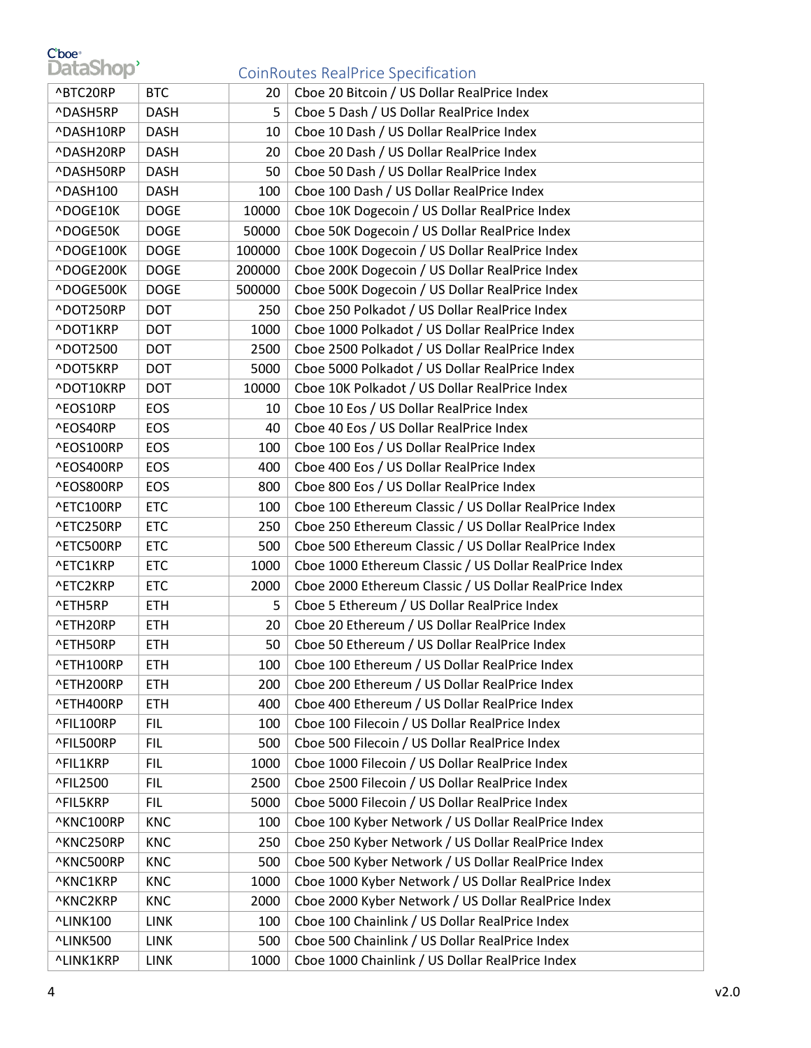# Cboe<sup>®</sup><br>DataShop<sup>®</sup>

### CoinRoutes RealPrice Specification

|           |             |        | commodels neam nee specification.                      |
|-----------|-------------|--------|--------------------------------------------------------|
| ^BTC20RP  | <b>BTC</b>  | 20     | Cboe 20 Bitcoin / US Dollar RealPrice Index            |
| ^DASH5RP  | <b>DASH</b> | 5      | Cboe 5 Dash / US Dollar RealPrice Index                |
| ^DASH10RP | <b>DASH</b> | 10     | Cboe 10 Dash / US Dollar RealPrice Index               |
| ^DASH20RP | <b>DASH</b> | 20     | Cboe 20 Dash / US Dollar RealPrice Index               |
| ^DASH50RP | <b>DASH</b> | 50     | Cboe 50 Dash / US Dollar RealPrice Index               |
| ^DASH100  | <b>DASH</b> | 100    | Cboe 100 Dash / US Dollar RealPrice Index              |
| ^DOGE10K  | <b>DOGE</b> | 10000  | Cboe 10K Dogecoin / US Dollar RealPrice Index          |
| ^DOGE50K  | <b>DOGE</b> | 50000  | Cboe 50K Dogecoin / US Dollar RealPrice Index          |
| ^DOGE100K | <b>DOGE</b> | 100000 | Cboe 100K Dogecoin / US Dollar RealPrice Index         |
| ^DOGE200K | <b>DOGE</b> | 200000 | Cboe 200K Dogecoin / US Dollar RealPrice Index         |
| ^DOGE500K | <b>DOGE</b> | 500000 | Cboe 500K Dogecoin / US Dollar RealPrice Index         |
| ^DOT250RP | <b>DOT</b>  | 250    | Cboe 250 Polkadot / US Dollar RealPrice Index          |
| ^DOT1KRP  | <b>DOT</b>  | 1000   | Cboe 1000 Polkadot / US Dollar RealPrice Index         |
| ^DOT2500  | <b>DOT</b>  | 2500   | Cboe 2500 Polkadot / US Dollar RealPrice Index         |
| ^DOT5KRP  | <b>DOT</b>  | 5000   | Cboe 5000 Polkadot / US Dollar RealPrice Index         |
| ^DOT10KRP | <b>DOT</b>  | 10000  | Cboe 10K Polkadot / US Dollar RealPrice Index          |
| ^EOS10RP  | EOS         | 10     | Cboe 10 Eos / US Dollar RealPrice Index                |
| ^EOS40RP  | EOS         | 40     | Cboe 40 Eos / US Dollar RealPrice Index                |
| ^EOS100RP | EOS         | 100    | Cboe 100 Eos / US Dollar RealPrice Index               |
| ^EOS400RP | EOS         | 400    | Cboe 400 Eos / US Dollar RealPrice Index               |
| ^EOS800RP | EOS         | 800    | Cboe 800 Eos / US Dollar RealPrice Index               |
| ^ETC100RP | <b>ETC</b>  | 100    | Cboe 100 Ethereum Classic / US Dollar RealPrice Index  |
| ^ETC250RP | <b>ETC</b>  | 250    | Cboe 250 Ethereum Classic / US Dollar RealPrice Index  |
| ^ETC500RP | <b>ETC</b>  | 500    | Cboe 500 Ethereum Classic / US Dollar RealPrice Index  |
| ^ETC1KRP  | <b>ETC</b>  | 1000   | Cboe 1000 Ethereum Classic / US Dollar RealPrice Index |
| ^ETC2KRP  | <b>ETC</b>  | 2000   | Cboe 2000 Ethereum Classic / US Dollar RealPrice Index |
| ^ETH5RP   | <b>ETH</b>  | 5      | Cboe 5 Ethereum / US Dollar RealPrice Index            |
| ^ETH20RP  | <b>ETH</b>  | 20     | Cboe 20 Ethereum / US Dollar RealPrice Index           |
| ^ETH50RP  | <b>ETH</b>  | 50     | Cboe 50 Ethereum / US Dollar RealPrice Index           |
| ^ETH100RP | <b>ETH</b>  | 100    | Cboe 100 Ethereum / US Dollar RealPrice Index          |
| ^ETH200RP | <b>ETH</b>  | 200    | Cboe 200 Ethereum / US Dollar RealPrice Index          |
| ^ETH400RP | <b>ETH</b>  | 400    | Cboe 400 Ethereum / US Dollar RealPrice Index          |
| ^FIL100RP | FIL.        | 100    | Cboe 100 Filecoin / US Dollar RealPrice Index          |
| ^FIL500RP | <b>FIL</b>  | 500    | Cboe 500 Filecoin / US Dollar RealPrice Index          |
| ^FIL1KRP  | <b>FIL</b>  | 1000   | Cboe 1000 Filecoin / US Dollar RealPrice Index         |
| ^FIL2500  | <b>FIL</b>  | 2500   | Cboe 2500 Filecoin / US Dollar RealPrice Index         |
| ^FIL5KRP  | <b>FIL</b>  | 5000   | Cboe 5000 Filecoin / US Dollar RealPrice Index         |
| ^KNC100RP | <b>KNC</b>  | 100    | Cboe 100 Kyber Network / US Dollar RealPrice Index     |
| ^KNC250RP | <b>KNC</b>  | 250    | Cboe 250 Kyber Network / US Dollar RealPrice Index     |
| ^KNC500RP | <b>KNC</b>  | 500    | Cboe 500 Kyber Network / US Dollar RealPrice Index     |
| ^KNC1KRP  | <b>KNC</b>  | 1000   | Cboe 1000 Kyber Network / US Dollar RealPrice Index    |
| ^KNC2KRP  | <b>KNC</b>  | 2000   | Cboe 2000 Kyber Network / US Dollar RealPrice Index    |
| ^LINK100  | <b>LINK</b> | 100    | Cboe 100 Chainlink / US Dollar RealPrice Index         |
| ^LINK500  | <b>LINK</b> | 500    | Cboe 500 Chainlink / US Dollar RealPrice Index         |
| ^LINK1KRP | <b>LINK</b> | 1000   | Cboe 1000 Chainlink / US Dollar RealPrice Index        |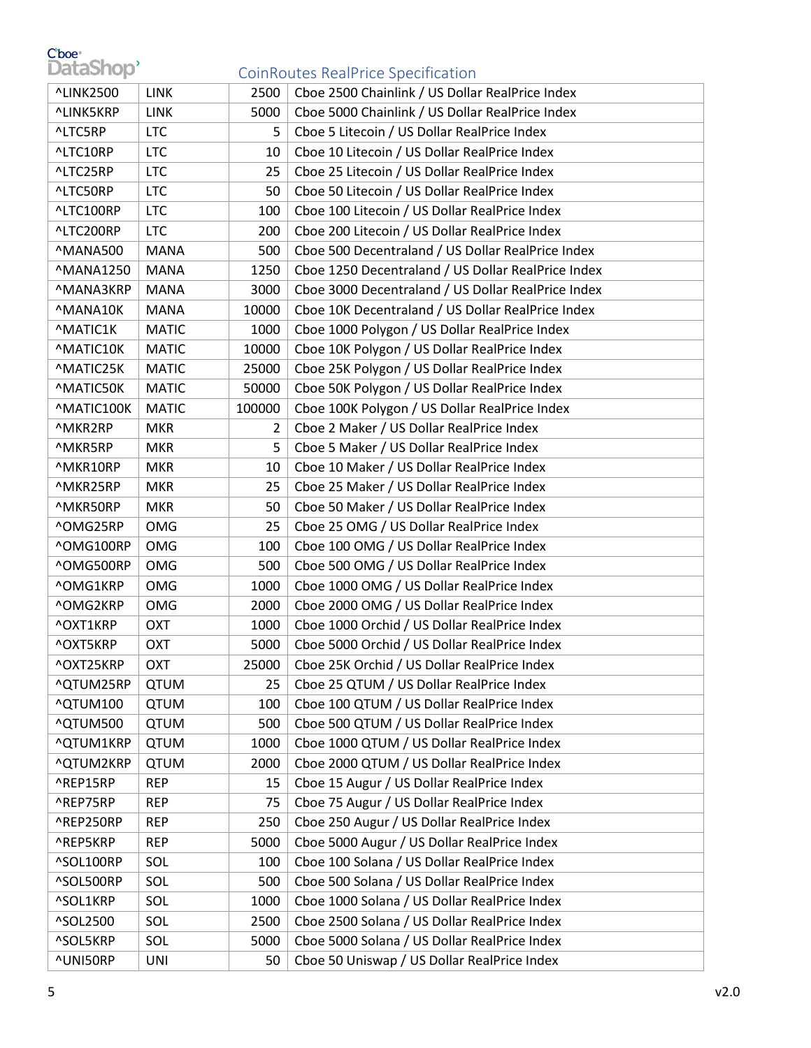# Cboe<sup>®</sup><br>DataShop<sup>®</sup>

### CoinRoutes RealPrice Specification

| <b>^LINK2500</b> | LINK         | 2500   | Cboe 2500 Chainlink / US Dollar RealPrice Index    |
|------------------|--------------|--------|----------------------------------------------------|
| ^LINK5KRP        | <b>LINK</b>  | 5000   | Cboe 5000 Chainlink / US Dollar RealPrice Index    |
| ^LTC5RP          | <b>LTC</b>   | 5      | Cboe 5 Litecoin / US Dollar RealPrice Index        |
| ^LTC10RP         | <b>LTC</b>   | 10     | Cboe 10 Litecoin / US Dollar RealPrice Index       |
| ^LTC25RP         | <b>LTC</b>   | 25     | Cboe 25 Litecoin / US Dollar RealPrice Index       |
| ^LTC50RP         | <b>LTC</b>   | 50     | Cboe 50 Litecoin / US Dollar RealPrice Index       |
| ^LTC100RP        | <b>LTC</b>   | 100    | Cboe 100 Litecoin / US Dollar RealPrice Index      |
| ^LTC200RP        | <b>LTC</b>   | 200    | Cboe 200 Litecoin / US Dollar RealPrice Index      |
| ^MANA500         | <b>MANA</b>  | 500    | Cboe 500 Decentraland / US Dollar RealPrice Index  |
| <b>^MANA1250</b> | <b>MANA</b>  | 1250   | Cboe 1250 Decentraland / US Dollar RealPrice Index |
| ^MANA3KRP        | <b>MANA</b>  | 3000   | Cboe 3000 Decentraland / US Dollar RealPrice Index |
| ^MANA10K         | <b>MANA</b>  | 10000  | Cboe 10K Decentraland / US Dollar RealPrice Index  |
| <b>MATIC1K</b>   | <b>MATIC</b> | 1000   | Cboe 1000 Polygon / US Dollar RealPrice Index      |
| ^MATIC10K        | <b>MATIC</b> | 10000  | Cboe 10K Polygon / US Dollar RealPrice Index       |
| ^MATIC25K        | <b>MATIC</b> | 25000  | Cboe 25K Polygon / US Dollar RealPrice Index       |
| ^MATIC50K        | <b>MATIC</b> | 50000  | Cboe 50K Polygon / US Dollar RealPrice Index       |
| ^MATIC100K       | <b>MATIC</b> | 100000 | Cboe 100K Polygon / US Dollar RealPrice Index      |
| ^MKR2RP          | <b>MKR</b>   | 2      | Cboe 2 Maker / US Dollar RealPrice Index           |
| ^MKR5RP          | <b>MKR</b>   | 5      | Cboe 5 Maker / US Dollar RealPrice Index           |
| ^MKR10RP         | <b>MKR</b>   | 10     | Cboe 10 Maker / US Dollar RealPrice Index          |
| ^MKR25RP         | <b>MKR</b>   | 25     | Cboe 25 Maker / US Dollar RealPrice Index          |
| ^MKR50RP         | <b>MKR</b>   | 50     | Cboe 50 Maker / US Dollar RealPrice Index          |
| ^OMG25RP         | <b>OMG</b>   | 25     | Cboe 25 OMG / US Dollar RealPrice Index            |
| ^OMG100RP        | OMG          | 100    | Cboe 100 OMG / US Dollar RealPrice Index           |
| ^OMG500RP        | OMG          | 500    | Cboe 500 OMG / US Dollar RealPrice Index           |
| ^OMG1KRP         | OMG          | 1000   | Cboe 1000 OMG / US Dollar RealPrice Index          |
| ^OMG2KRP         | <b>OMG</b>   | 2000   | Cboe 2000 OMG / US Dollar RealPrice Index          |
| ^OXT1KRP         | OXT          | 1000   | Cboe 1000 Orchid / US Dollar RealPrice Index       |
| ^OXT5KRP         | OXT          | 5000   | Cboe 5000 Orchid / US Dollar RealPrice Index       |
| ^OXT25KRP        | <b>OXT</b>   | 25000  | Cboe 25K Orchid / US Dollar RealPrice Index        |
| ^QTUM25RP        | <b>QTUM</b>  | 25     | Cboe 25 QTUM / US Dollar RealPrice Index           |
| ^QTUM100         | <b>QTUM</b>  | 100    | Cboe 100 QTUM / US Dollar RealPrice Index          |
| ^QTUM500         | QTUM         | 500    | Cboe 500 QTUM / US Dollar RealPrice Index          |
| ^QTUM1KRP        | <b>QTUM</b>  | 1000   | Cboe 1000 QTUM / US Dollar RealPrice Index         |
| <b>^QTUM2KRP</b> | <b>QTUM</b>  | 2000   | Cboe 2000 QTUM / US Dollar RealPrice Index         |
| ^REP15RP         | <b>REP</b>   | 15     | Cboe 15 Augur / US Dollar RealPrice Index          |
| ^REP75RP         | <b>REP</b>   | 75     | Cboe 75 Augur / US Dollar RealPrice Index          |
| ^REP250RP        | <b>REP</b>   | 250    | Cboe 250 Augur / US Dollar RealPrice Index         |
| ^REP5KRP         | <b>REP</b>   | 5000   | Cboe 5000 Augur / US Dollar RealPrice Index        |
| ^SOL100RP        | SOL          | 100    | Cboe 100 Solana / US Dollar RealPrice Index        |
| ^SOL500RP        | SOL          | 500    | Cboe 500 Solana / US Dollar RealPrice Index        |
| ^SOL1KRP         | SOL          | 1000   | Cboe 1000 Solana / US Dollar RealPrice Index       |
| ^SOL2500         | SOL          | 2500   | Cboe 2500 Solana / US Dollar RealPrice Index       |
| ^SOL5KRP         | SOL          | 5000   | Cboe 5000 Solana / US Dollar RealPrice Index       |
| ^UNI50RP         | UNI          | 50     | Cboe 50 Uniswap / US Dollar RealPrice Index        |